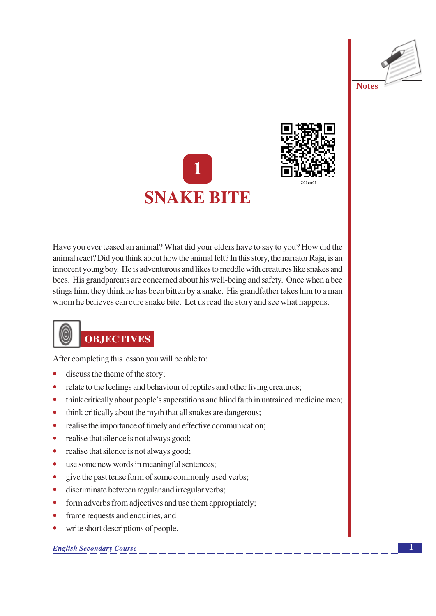





Have you ever teased an animal? What did your elders have to say to you? How did the animal react? Did you think about how the animal felt? In this story, the narrator Raja, is an innocent young boy. He is adventurous and likes to meddle with creatures like snakes and bees. His grandparents are concerned about his well-being and safety. Once when a bee stings him, they think he has been bitten by a snake. His grandfather takes him to a man whom he believes can cure snake bite. Let us read the story and see what happens.

## **OBJECTIVES**

After completing this lesson you will be able to:

- discuss the theme of the story;
- relate to the feelings and behaviour of reptiles and other living creatures;  $\bullet$
- think critically about people's superstitions and blind faith in untrained medicine men;  $\bullet$
- think critically about the myth that all snakes are dangerous;  $\bullet$
- realise the importance of timely and effective communication;  $\bullet$
- realise that silence is not always good;  $\bullet$
- realise that silence is not always good;  $\bullet$
- use some new words in meaningful sentences;  $\bullet$
- give the past tense form of some commonly used verbs;  $\bullet$
- discriminate between regular and irregular verbs;  $\bullet$
- form adverbs from adjectives and use them appropriately;  $\bullet$
- $\bullet$ frame requests and enquiries, and
- write short descriptions of people.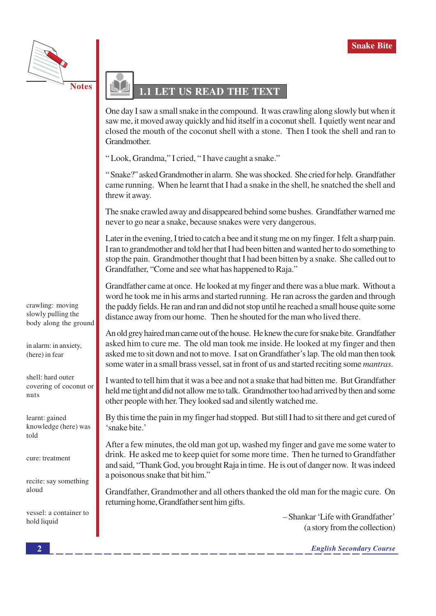

## LET US READ THE TEXT

One day I saw a small snake in the compound. It was crawling along slowly but when it saw me, it moved away quickly and hid itself in a coconut shell. I quietly went near and closed the mouth of the coconut shell with a stone. Then I took the shell and ran to Grandmother.

"Look, Grandma," I cried, "I have caught a snake."

"Snake?" asked Grandmother in alarm. She was shocked. She cried for help. Grandfather came running. When he learnt that I had a snake in the shell, he snatched the shell and threw it away.

The snake crawled away and disappeared behind some bushes. Grandfather warned me never to go near a snake, because snakes were very dangerous.

Later in the evening, I tried to catch a bee and it stung me on my finger. I felt a sharp pain. I ran to grandmother and told her that I had been bitten and wanted her to do something to stop the pain. Grandmother thought that I had been bitten by a snake. She called out to Grandfather, "Come and see what has happened to Raja."

Grandfather came at once. He looked at my finger and there was a blue mark. Without a word he took me in his arms and started running. He ran across the garden and through the paddy fields. He ran and ran and did not stop until he reached a small house quite some distance away from our home. Then he shouted for the man who lived there.

An old grey haired man came out of the house. He knew the cure for snake bite. Grandfather asked him to cure me. The old man took me inside. He looked at my finger and then asked me to sit down and not to move. I sat on Grandfather's lap. The old man then took some water in a small brass vessel, sat in front of us and started reciting some *mantras*.

I wanted to tell him that it was a bee and not a snake that had bitten me. But Grandfather held me tight and did not allow me to talk. Grandmother too had arrived by then and some other people with her. They looked sad and silently watched me.

By this time the pain in my finger had stopped. But still I had to sit there and get cured of 'snake bite.'

After a few minutes, the old man got up, washed my finger and gave me some water to drink. He asked me to keep quiet for some more time. Then he turned to Grandfather and said, "Thank God, you brought Raja in time. He is out of danger now. It was indeed a poisonous snake that bit him."

Grandfather, Grandmother and all others thanked the old man for the magic cure. On returning home, Grandfather sent him gifts.

> - Shankar 'Life with Grandfather' (a story from the collection)

> > **English Secondary Course**

crawling: moving slowly pulling the body along the ground

in alarm: in anxiety, (here) in fear

shell: hard outer covering of coconut or nuts

learnt: gained knowledge (here) was told

cure: treatment

recite: say something  $_{\rm along}$ 

vessel: a container to hold liquid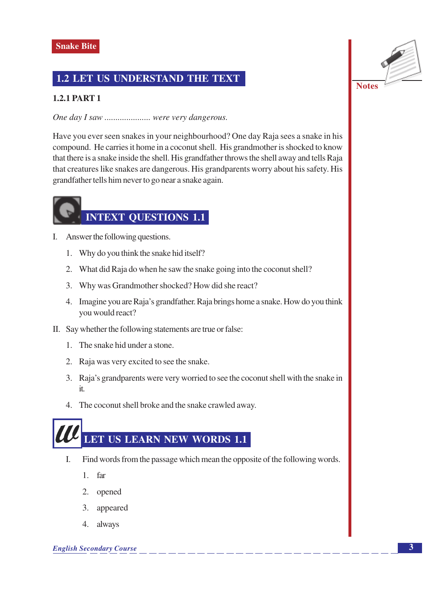### 1.2 LET US UNDERSTAND THE TEXT

#### **1.2.1 PART 1**

One day I saw ..................... were very dangerous.

Have you ever seen snakes in your neighbourhood? One day Raja sees a snake in his compound. He carries it home in a coconut shell. His grandmother is shocked to know that there is a snake inside the shell. His grandfather throws the shell away and tells Raja that creatures like snakes are dangerous. His grandparents worry about his safety. His grandfather tells him never to go near a snake again.

## **INTEXT QUESTIONS 1.1**

- I. Answer the following questions.
	- 1. Why do you think the snake hid itself?
	- 2. What did Raja do when he saw the snake going into the coconut shell?
	- 3. Why was Grandmother shocked? How did she react?
	- 4. Imagine you are Raja's grandfather. Raja brings home a snake. How do you think you would react?
- II. Say whether the following statements are true or false:
	- 1. The snake hid under a stone.
	- 2. Raja was very excited to see the snake.
	- 3. Raja's grandparents were very worried to see the coconut shell with the snake in  $it.$
	- 4. The coconut shell broke and the snake crawled away.

# LET US LEARN NEW WORDS 1.1

- I. Find words from the passage which mean the opposite of the following words.
	- $1.$ far
	- 2. opened
	- 3. appeared
	- 4. always

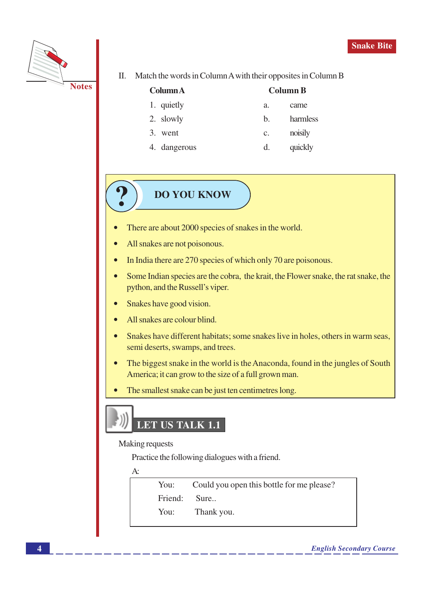

Π. Match the words in Column A with their opposites in Column B

came

harmless

| <b>ColumnA</b> |         | <b>Column B</b> |
|----------------|---------|-----------------|
| 1. quietly     | а.      | came            |
| 2. slowly      | $h_{-}$ | harm            |

- 3. went noisily  $\mathbf{C}$ .
- 4. dangerous  $d.$ quickly

### **DO YOU KNOW**

- There are about 2000 species of snakes in the world.
- All snakes are not poisonous.
- In India there are 270 species of which only 70 are poisonous.
- Some Indian species are the cobra, the krait, the Flower snake, the rat snake, the python, and the Russell's viper.
- Snakes have good vision.  $\bullet$
- All snakes are colour blind.
- Snakes have different habitats; some snakes live in holes, others in warm seas,  $\bullet$ semi deserts, swamps, and trees.
- The biggest snake in the world is the Anaconda, found in the jungles of South  $\bullet$ America; it can grow to the size of a full grown man.
- The smallest snake can be just ten centimetres long.

## LET US TALK 1.1

#### **Making requests**

Practice the following dialogues with a friend.

 $A$ :

You: Could you open this bottle for me please? Friend: Sure.. You: Thank you.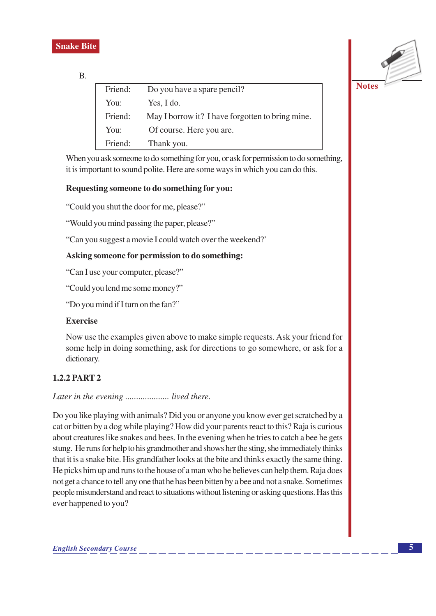

**B.** 

| Friend: | Do you have a spare pencil?                      |
|---------|--------------------------------------------------|
| You:    | Yes, I do.                                       |
| Friend: | May I borrow it? I have forgotten to bring mine. |
| You:    | Of course. Here you are.                         |
| Friend: | Thank you.                                       |

When you ask someone to do something for you, or ask for permission to do something, it is important to sound polite. Here are some ways in which you can do this.

#### Requesting someone to do something for you:

"Could you shut the door for me, please?"

"Would you mind passing the paper, please?"

"Can you suggest a movie I could watch over the weekend?"

#### Asking someone for permission to do something:

"Can I use your computer, please?"

"Could you lend me some money?"

"Do you mind if I turn on the fan?"

#### **Exercise**

Now use the examples given above to make simple requests. Ask your friend for some help in doing something, ask for directions to go somewhere, or ask for a dictionary.

#### **1.2.2 PART 2**

#### Later in the evening ...................... lived there.

Do you like playing with animals? Did you or anyone you know ever get scratched by a cat or bitten by a dog while playing? How did your parents react to this? Raja is curious about creatures like snakes and bees. In the evening when he tries to catch a bee he gets stung. He runs for help to his grandmother and shows her the sting, she immediately thinks that it is a snake bite. His grandfather looks at the bite and thinks exactly the same thing. He picks him up and runs to the house of a man who he believes can help them. Raja does not get a chance to tell any one that he has been bitten by a bee and not a snake. Sometimes people misunderstand and react to situations without listening or asking questions. Has this ever happened to you?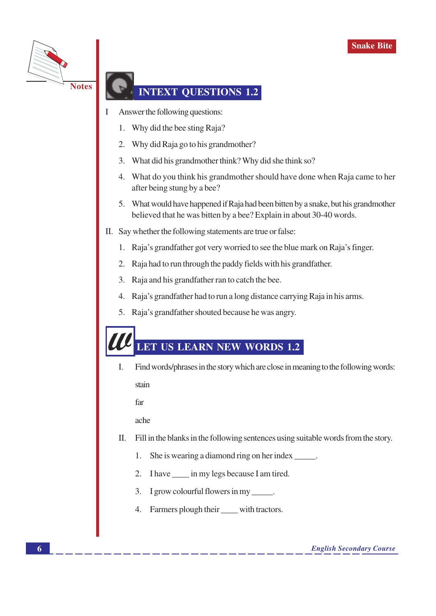

### **INTEXT OUESTIONS 1.2**

- Answer the following questions:
	- 1. Why did the bee sting Raja?
	- Why did Raja go to his grandmother?  $\overline{2}$ .
	- 3. What did his grandmother think? Why did she think so?
	- 4. What do you think his grandmother should have done when Raja came to her after being stung by a bee?
	- 5. What would have happened if Raja had been bitten by a snake, but his grandmother believed that he was bitten by a bee? Explain in about 30-40 words.
- II. Say whether the following statements are true or false:
	- 1. Raja's grandfather got very worried to see the blue mark on Raja's finger.
	- 2. Raja had to run through the paddy fields with his grandfather.
	- 3. Raja and his grandfather ran to catch the bee.
	- 4. Raja's grandfather had to run a long distance carrying Raja in his arms.
	- 5. Raja's grandfather shouted because he was angry.

## LET US LEARN NEW WORDS 1.2

 $\overline{I}$ . Find words/phrases in the story which are close in meaning to the following words:

stain

far

ache

- $\Pi$ . Fill in the blanks in the following sentences using suitable words from the story.
	- She is wearing a diamond ring on her index \_\_\_\_\_\_.  $1.$
	- 2. I have \_\_\_\_\_ in my legs because I am tired.
	- 3. I grow colourful flowers in my \_\_\_\_\_\_.
	- 4. Farmers plough their with tractors.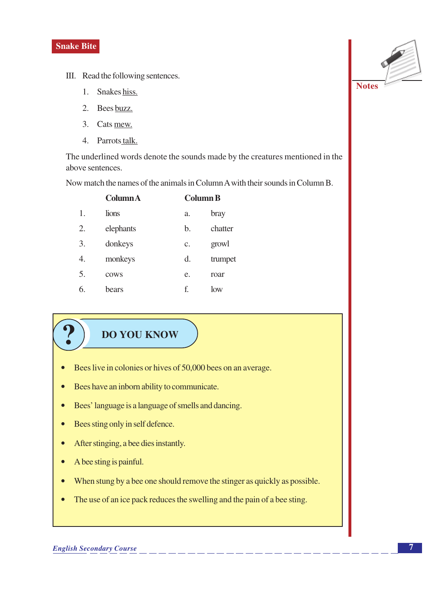- III. Read the following sentences.
	- 1. Snakes hiss.
	- $\overline{2}$ . Bees buzz.
	- 3. Cats mew.
	- 4. Parrots talk.

The underlined words denote the sounds made by the creatures mentioned in the above sentences.

Now match the names of the animals in Column A with their sounds in Column B.

|    | <b>ColumnA</b> |                 | <b>Column B</b> |  |  |
|----|----------------|-----------------|-----------------|--|--|
| 1. | lions          | a.              | bray            |  |  |
| 2. | elephants      | b.              | chatter         |  |  |
| 3. | donkeys        | $\mathcal{C}$ . | growl           |  |  |
| 4. | monkeys        | d.              | trumpet         |  |  |
| 5. | cows           | e.              | roar            |  |  |
| 6. | bears          | f.              | low             |  |  |

## **DO YOU KNOW**

- Bees live in colonies or hives of 50,000 bees on an average.  $\bullet$
- Bees have an inborn ability to communicate.  $\bullet$
- Bees' language is a language of smells and dancing.  $\bullet$
- Bees sting only in self defence.  $\bullet$
- After stinging, a bee dies instantly.  $\bullet$
- A bee sting is painful.  $\bullet$
- When stung by a bee one should remove the stinger as quickly as possible.  $\bullet$
- The use of an ice pack reduces the swelling and the pain of a bee sting.  $\bullet$

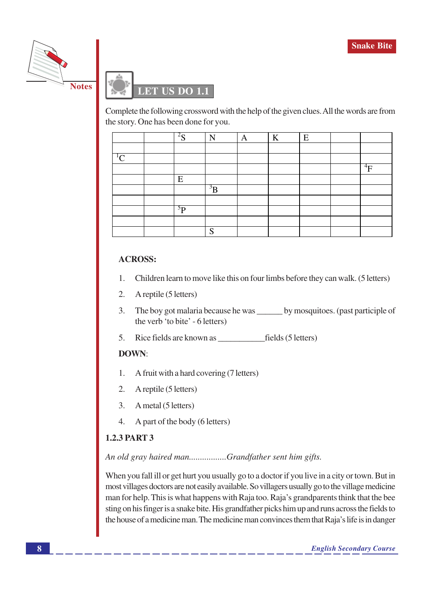



Complete the following crossword with the help of the given clues. All the words are from the story. One has been done for you.

|               | 2 <sub>c</sub><br>د | N                  | A | K | E |           |
|---------------|---------------------|--------------------|---|---|---|-----------|
|               |                     |                    |   |   |   |           |
| $\mathcal{L}$ |                     |                    |   |   |   |           |
|               |                     |                    |   |   |   | $\rm ^4F$ |
|               | E                   |                    |   |   |   |           |
|               |                     | $\overline{B}$     |   |   |   |           |
|               |                     |                    |   |   |   |           |
|               | $^{5}P$             |                    |   |   |   |           |
|               |                     |                    |   |   |   |           |
|               |                     | $\mathbf{C}$<br>ĸ٦ |   |   |   |           |

#### **ACROSS:**

- Children learn to move like this on four limbs before they can walk. (5 letters)  $\mathbf{1}$ .
- $2.$ A reptile (5 letters)
- $3.$ The boy got malaria because he was by mosquitoes. (past participle of the verb 'to bite' - 6 letters)
- 5.

#### **DOWN:**

- A fruit with a hard covering (7 letters) 1.
- $\overline{2}$ . A reptile (5 letters)
- $\mathcal{L}$ A metal (5 letters)
- $\overline{4}$ A part of the body (6 letters)

#### **1.2.3 PART 3**

#### An old gray haired man................Grandfather sent him gifts.

When you fall ill or get hurt you usually go to a doctor if you live in a city or town. But in most villages doctors are not easily available. So villagers usually go to the village medicine man for help. This is what happens with Raja too. Raja's grandparents think that the bee sting on his finger is a snake bite. His grandfather picks him up and runs across the fields to the house of a medicine man. The medicine man convinces them that Raja's life is in danger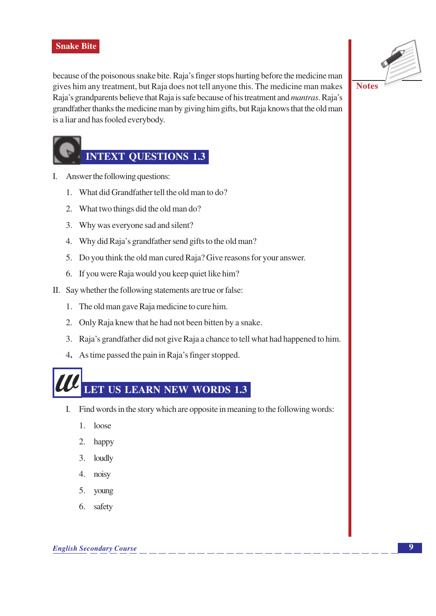because of the poisonous snake bite. Raja's finger stops hurting before the medicine man gives him any treatment, but Raja does not tell anyone this. The medicine man makes Raja's grandparents believe that Raja is safe because of his treatment and *mantras*. Raja's grandfather thanks the medicine man by giving him gifts, but Raja knows that the old man is a liar and has fooled everybody.



### **INTEXT OUESTIONS 1.3**

- I. Answer the following questions:
	- 1. What did Grandfather tell the old man to do?
	- 2. What two things did the old man do?
	- 3. Why was everyone sad and silent?
	- 4. Why did Raja's grandfather send gifts to the old man?
	- 5. Do you think the old man cured Raja? Give reasons for your answer.
	- 6. If you were Raja would you keep quiet like him?
- II. Say whether the following statements are true or false:
	- 1. The old man gave Raja medicine to cure him.
	- 2. Only Raja knew that he had not been bitten by a snake.
	- 3. Raja's grandfather did not give Raja a chance to tell what had happened to him.
	- 4. As time passed the pain in Raja's finger stopped.

## **LET US LEARN NEW WORDS 1.3**

- I. Find words in the story which are opposite in meaning to the following words:
	- $1.$ loose
	- 2. happy
	- $\mathcal{E}$ loudly
	- $\overline{4}$ . noisy
	- 5. young
	- 6. safety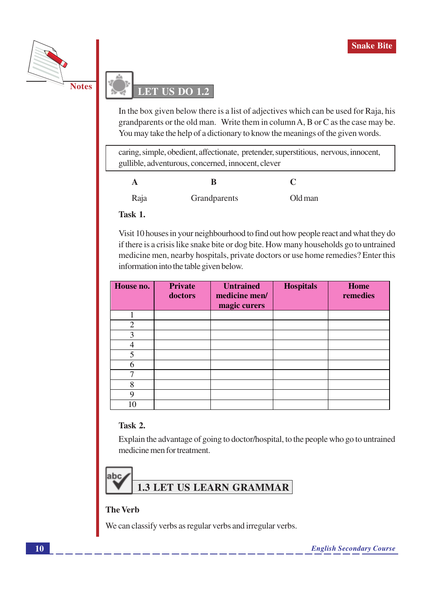



In the box given below there is a list of adjectives which can be used for Raja, his grandparents or the old man. Write them in column A, B or C as the case may be. You may take the help of a dictionary to know the meanings of the given words.

caring, simple, obedient, affectionate, pretender, superstitious, nervous, innocent, gullible, adventurous, concerned, innocent, clever

| A    | B            |         |
|------|--------------|---------|
| Raja | Grandparents | Old man |

Task 1.

Visit 10 houses in your neighbourhood to find out how people react and what they do if there is a crisis like snake bite or dog bite. How many households go to untrained medicine men, nearby hospitals, private doctors or use home remedies? Enter this information into the table given below.

| House no.      | <b>Private</b><br>doctors | <b>Untrained</b><br>medicine men/<br>magic curers | <b>Hospitals</b> | Home<br>remedies |
|----------------|---------------------------|---------------------------------------------------|------------------|------------------|
|                |                           |                                                   |                  |                  |
| $\overline{2}$ |                           |                                                   |                  |                  |
| 3              |                           |                                                   |                  |                  |
|                |                           |                                                   |                  |                  |
| 5              |                           |                                                   |                  |                  |
| 6              |                           |                                                   |                  |                  |
|                |                           |                                                   |                  |                  |
| 8              |                           |                                                   |                  |                  |
| 9              |                           |                                                   |                  |                  |
| 10             |                           |                                                   |                  |                  |

#### Task 2.

Explain the advantage of going to doctor/hospital, to the people who go to untrained medicine men for treatment.



#### **The Verb**

We can classify verbs as regular verbs and irregular verbs.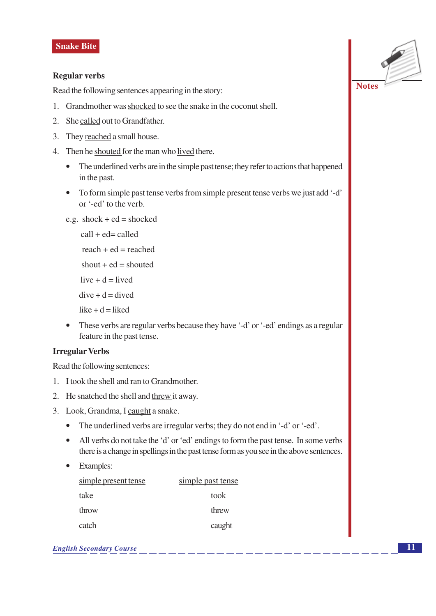#### **Regular verbs**

Read the following sentences appearing in the story:

- 1. Grandmother was shocked to see the snake in the coconut shell.
- 2. She called out to Grandfather.
- 3. They reached a small house.
- 4. Then he shouted for the man who lived there.
	- The underlined verbs are in the simple past tense; they refer to actions that happened  $\bullet$ in the past.
	- To form simple past tense verbs from simple present tense verbs we just add '-d' or '-ed' to the verb.
	- e.g.  $shock + ed = shock$

```
call + ed = calledreach + ed = reached
```
- shout  $+$  ed = shouted
- live  $+ d =$ lived
- $dive + d = dived$
- $like + d = liked$
- These verbs are regular verbs because they have '-d' or '-ed' endings as a regular feature in the past tense.

#### **Irregular Verbs**

Read the following sentences:

- 1. I took the shell and ran to Grandmother.
- 2. He snatched the shell and threw it away.
- 3. Look, Grandma, I caught a snake.
	- The underlined verbs are irregular verbs; they do not end in '-d' or '-ed'.
	- All verbs do not take the 'd' or 'ed' endings to form the past tense. In some verbs there is a change in spellings in the past tense form as you see in the above sentences.
	- Examples:  $\bullet$

| simple present tense | simple past tense |
|----------------------|-------------------|
| take                 | took              |
| throw                | threw             |
| catch                | caught            |

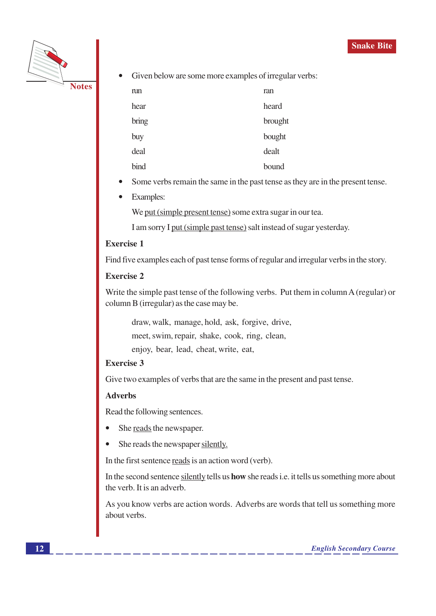

Given below are some more examples of irregular verbs:  $\bullet$ 

| run   | ran     |
|-------|---------|
| hear  | heard   |
| bring | brought |
| buy   | bought  |
| deal  | dealt   |
| bind  | bound   |

- Some verbs remain the same in the past tense as they are in the present tense.
- **Examples:**  $\bullet$

We put (simple present tense) some extra sugar in our tea.

I am sorry I put (simple past tense) salt instead of sugar yesterday.

#### **Exercise 1**

Find five examples each of past tense forms of regular and irregular verbs in the story.

#### **Exercise 2**

Write the simple past tense of the following verbs. Put them in column A (regular) or column B (irregular) as the case may be.

draw, walk, manage, hold, ask, forgive, drive, meet, swim, repair, shake, cook, ring, clean, enjoy, bear, lead, cheat, write, eat,

#### **Exercise 3**

Give two examples of verbs that are the same in the present and past tense.

#### **Adverbs**

Read the following sentences.

- She reads the newspaper.
- She reads the newspaper silently.  $\bullet$

In the first sentence reads is an action word (verb).

In the second sentence silently tells us **how** she reads i.e. it tells us something more about the verb. It is an adverb.

As you know verbs are action words. Adverbs are words that tell us something more about verbs.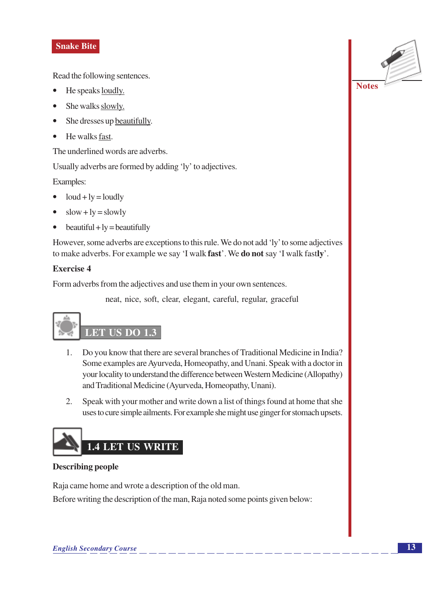Read the following sentences.

- He speaks <u>loudly.</u>
- She walks slowly.
- She dresses up beautifully.
- He walks fast.

The underlined words are adverbs.

Usually adverbs are formed by adding 'ly' to adjectives.

Examples:

- $\bullet$  loud + ly = loudly
- $slow + ly = slowly$  $\bullet$
- $beautiful + ly = beautifully$  $\bullet$

However, some adverbs are exceptions to this rule. We do not add 'ly' to some adjectives to make adverbs. For example we say 'I walk fast'. We do not say 'I walk fastly'.

#### **Exercise 4**

Form adverbs from the adjectives and use them in your own sentences.

neat, nice, soft, clear, elegant, careful, regular, graceful

## **LET US DO 1.3**

- Do you know that there are several branches of Traditional Medicine in India?  $1.$ Some examples are Ayurveda, Homeopathy, and Unani. Speak with a doctor in your locality to understand the difference between Western Medicine (Allopathy) and Traditional Medicine (Ayurveda, Homeopathy, Unani).
- 2. Speak with your mother and write down a list of things found at home that she uses to cure simple ailments. For example she might use ginger for stomach upsets.



#### **Describing people**

Raja came home and wrote a description of the old man. Before writing the description of the man, Raja noted some points given below:



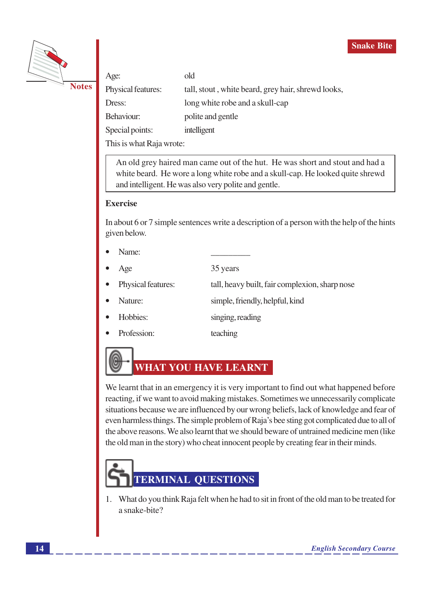



| Age:               | old                                                |
|--------------------|----------------------------------------------------|
| Physical features: | tall, stout, white beard, grey hair, shrewd looks, |
| Dress:             | long white robe and a skull-cap                    |
| Behaviour:         | polite and gentle                                  |
| Special points:    | intelligent                                        |
|                    |                                                    |

This is what Raja wrote:

An old grey haired man came out of the hut. He was short and stout and had a white beard. He wore a long white robe and a skull-cap. He looked quite shrewd and intelligent. He was also very polite and gentle.

#### **Exercise**

In about 6 or 7 simple sentences write a description of a person with the help of the hints given below.

- Name:
- 35 years Age
- Physical features: tall, heavy built, fair complexion, sharp nose
- Nature: simple, friendly, helpful, kind
- Hobbies: singing, reading
- Profession: teaching

## **WHAT YOU HAVE LEARNT**

We learnt that in an emergency it is very important to find out what happened before reacting, if we want to avoid making mistakes. Sometimes we unnecessarily complicate situations because we are influenced by our wrong beliefs, lack of knowledge and fear of even harmless things. The simple problem of Raja's bee sting got complicated due to all of the above reasons. We also learnt that we should beware of untrained medicine men (like the old man in the story) who cheat innocent people by creating fear in their minds.

# **TERMINAL QUESTIONS**

1. What do you think Raja felt when he had to sit in front of the old man to be treated for a snake-bite?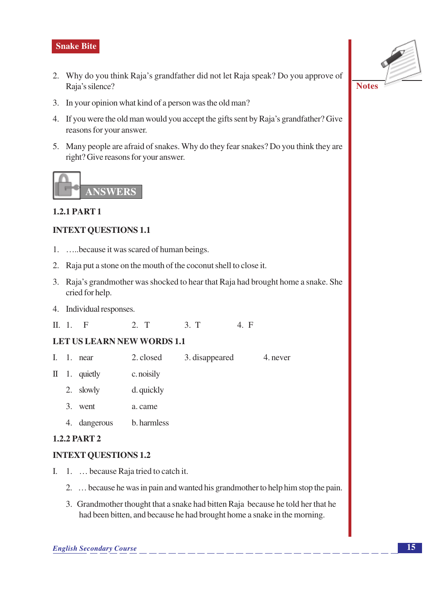- 2. Why do you think Raja's grandfather did not let Raja speak? Do you approve of Raja's silence?
- 3. In your opinion what kind of a person was the old man?
- 4. If you were the old man would you accept the gifts sent by Raja's grandfather? Give reasons for your answer.
- 5. Many people are afraid of snakes. Why do they fear snakes? Do you think they are right? Give reasons for your answer.



#### **1.2.1 PART 1**

#### **INTEXT QUESTIONS 1.1**

- 1. .... because it was scared of human beings.
- 2. Raja put a stone on the mouth of the coconut shell to close it.
- 3. Raja's grandmother was shocked to hear that Raja had brought home a snake. She cried for help.
- 4. Individual responses.
- $\Pi$ , 1,  $\Pi$  $2. T$  $3. T$  $4. F$

#### **LET US LEARN NEW WORDS 1.1**

- $\mathbf{L}$ 1 near  $2$  closed 3. disappeared 4 never
- $II$  1. quietly c. noisily
	- 2. slowly d. quickly
	- 3. went a. came
	- 4. dangerous b. harmless

#### **1.2.2 PART 2**

#### **INTEXT QUESTIONS 1.2**

- I. 1. ... because Raja tried to catch it.
	- 2. ... because he was in pain and wanted his grandmother to help him stop the pain.
	- 3. Grandmother thought that a snake had bitten Raja because he told her that he had been bitten, and because he had brought home a snake in the morning.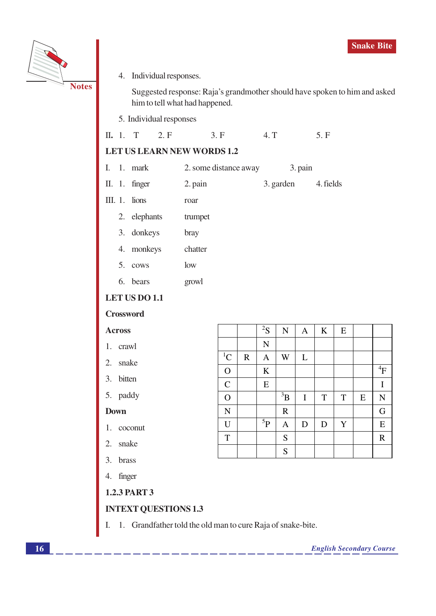

4. Individual responses.

Suggested response: Raja's grandmother should have spoken to him and asked him to tell what had happened.

5. Individual responses

|  |  | II. 1. T |  |  | 3. F | 4. T | 5. F |
|--|--|----------|--|--|------|------|------|
|--|--|----------|--|--|------|------|------|

#### **LET US LEARN NEW WORDS 1.2**

|  | I. $1.$ mark | 2. some distance away | 3. pain |
|--|--------------|-----------------------|---------|
|--|--------------|-----------------------|---------|

- II. 1. finger 2. pain 3. garden
- III.  $1.$  lions roar
	- 2. elephants trumpet
	- 3. donkeys bray
	- 4. monkeys chatter
	- 5. cows  $low$
	- 6. bears growl

#### **LET US DO 1.1**

#### **Crossword**

#### **Across**

- 1. crawl
- 2. snake
- 3. bitten
- 5. paddy

#### **Down**

- 1. coconut
- 2. snake
- 3. brass
- 4. finger
- **1.2.3 PART 3**

#### **INTEXT QUESTIONS 1.3**

1. Grandfather told the old man to cure Raja of snake-bite. I.

|                |             | ${}^{2}S$          | $\overline{N}$ | A           | $\bf K$     | ${\bf E}$ |           |              |
|----------------|-------------|--------------------|----------------|-------------|-------------|-----------|-----------|--------------|
|                |             | $\overline{\bf N}$ |                |             |             |           |           |              |
| ${}^{1}C$      | $\mathbf R$ | $\mathbf{A}$       | W              | L           |             |           |           |              |
| $\mathbf{O}$   |             | $\bf K$            |                |             |             |           |           | $\rm ^4F$    |
| $\mathbf C$    |             | ${\bf E}$          |                |             |             |           |           | $\mathbf I$  |
| $\overline{O}$ |             |                    | $\rm ^3B$      | $\mathbf I$ | $\mathbf T$ | T         | ${\bf E}$ | $\mathbf N$  |
| $\overline{N}$ |             |                    | ${\bf R}$      |             |             |           |           | G            |
| $\mathbf U$    |             | $^5{\rm P}$        | A              | $\mathbf D$ | $\mathbf D$ | Y         |           | ${\bf E}$    |
| $\mathbf T$    |             |                    | ${\mathbf S}$  |             |             |           |           | $\mathbb{R}$ |
|                |             |                    | S              |             |             |           |           |              |

4. fields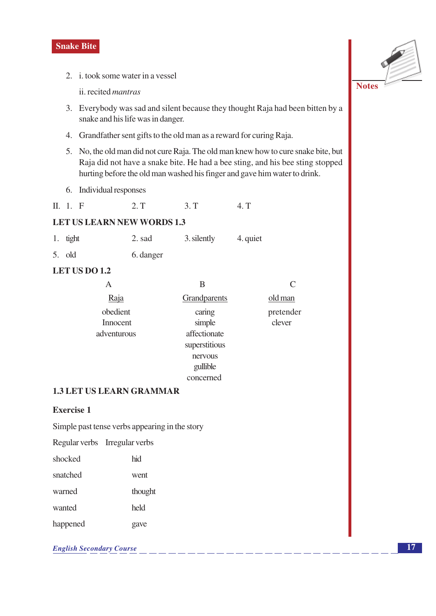2. i. took some water in a vessel

ii. recited mantras

- 3. Everybody was sad and silent because they thought Raja had been bitten by a snake and his life was in danger.
- 4. Grandfather sent gifts to the old man as a reward for curing Raja.
- 5. No, the old man did not cure Raja. The old man knew how to cure snake bite, but Raja did not have a snake bite. He had a bee sting, and his bee sting stopped hurting before the old man washed his finger and gave him water to drink.
- 6. Individual responses
- $II. 1. F$  $2. T$  $3. T$  $4. T$

#### **LET US LEARN NEW WORDS 1.3**

|  | 1. tight | 2. sad | 3. silently | 4. quiet |
|--|----------|--------|-------------|----------|
|--|----------|--------|-------------|----------|

 $5.$  old 6. danger

#### LET US DO 1.2

| А           | В             |           |
|-------------|---------------|-----------|
| Raja        | Grandparents  | old man   |
| obedient    | caring        | pretender |
| Innocent    | simple        | clever    |
| adventurous | affectionate  |           |
|             | superstitious |           |
|             | nervous       |           |
|             | gullible      |           |
|             | concerned     |           |

#### **1.3 LET US LEARN GRAMMAR**

#### **Exercise 1**

Simple past tense verbs appearing in the story

Regular verbs Irregular verbs

| shocked  | hid     |
|----------|---------|
| snatched | went    |
| warned   | thought |
| wanted   | held    |
| happened | gave    |